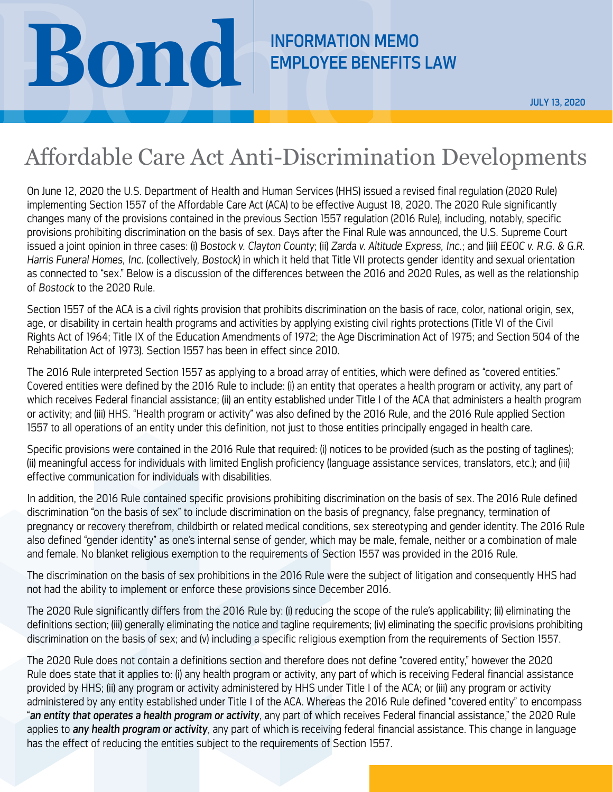## **BOND REMPLOYEE BENEFITS**

## EMPLOYEE BENEFITS LAW

## Affordable Care Act Anti-Discrimination Developments

On June 12, 2020 the U.S. Department of Health and Human Services (HHS) issued a revised final regulation (2020 Rule) implementing Section 1557 of the Affordable Care Act (ACA) to be effective August 18, 2020. The 2020 Rule significantly changes many of the provisions contained in the previous Section 1557 regulation (2016 Rule), including, notably, specific provisions prohibiting discrimination on the basis of sex. Days after the Final Rule was announced, the U.S. Supreme Court issued a joint opinion in three cases: (i) *Bostock v. Clayton County*; (ii) *Zarda v. Altitude Express, Inc.*; and (iii) *EEOC v. R.G. & G.R. Harris Funeral Homes, Inc.* (collectively, *Bostock*) in which it held that Title VII protects gender identity and sexual orientation as connected to "sex." Below is a discussion of the differences between the 2016 and 2020 Rules, as well as the relationship of *Bostock* to the 2020 Rule.

Section 1557 of the ACA is a civil rights provision that prohibits discrimination on the basis of race, color, national origin, sex, age, or disability in certain health programs and activities by applying existing civil rights protections (Title VI of the Civil Rights Act of 1964; Title IX of the Education Amendments of 1972; the Age Discrimination Act of 1975; and Section 504 of the Rehabilitation Act of 1973). Section 1557 has been in effect since 2010.

The 2016 Rule interpreted Section 1557 as applying to a broad array of entities, which were defined as "covered entities." Covered entities were defined by the 2016 Rule to include: (i) an entity that operates a health program or activity, any part of which receives Federal financial assistance; (ii) an entity established under Title I of the ACA that administers a health program or activity; and (iii) HHS. "Health program or activity" was also defined by the 2016 Rule, and the 2016 Rule applied Section 1557 to all operations of an entity under this definition, not just to those entities principally engaged in health care.

Specific provisions were contained in the 2016 Rule that required: (i) notices to be provided (such as the posting of taglines); (ii) meaningful access for individuals with limited English proficiency (language assistance services, translators, etc.); and (iii) effective communication for individuals with disabilities.

In addition, the 2016 Rule contained specific provisions prohibiting discrimination on the basis of sex. The 2016 Rule defined discrimination "on the basis of sex" to include discrimination on the basis of pregnancy, false pregnancy, termination of pregnancy or recovery therefrom, childbirth or related medical conditions, sex stereotyping and gender identity. The 2016 Rule also defined "gender identity" as one's internal sense of gender, which may be male, female, neither or a combination of male and female. No blanket religious exemption to the requirements of Section 1557 was provided in the 2016 Rule.

The discrimination on the basis of sex prohibitions in the 2016 Rule were the subject of litigation and consequently HHS had not had the ability to implement or enforce these provisions since December 2016.

The 2020 Rule significantly differs from the 2016 Rule by: (i) reducing the scope of the rule's applicability; (ii) eliminating the definitions section; (iii) generally eliminating the notice and tagline requirements; (iv) eliminating the specific provisions prohibiting discrimination on the basis of sex; and (v) including a specific religious exemption from the requirements of Section 1557.

The 2020 Rule does not contain a definitions section and therefore does not define "covered entity," however the 2020 Rule does state that it applies to: (i) any health program or activity, any part of which is receiving Federal financial assistance provided by HHS; (ii) any program or activity administered by HHS under Title I of the ACA; or (iii) any program or activity administered by any entity established under Title I of the ACA. Whereas the 2016 Rule defined "covered entity" to encompass "*an entity that operates a health program or activity*, any part of which receives Federal financial assistance," the 2020 Rule applies to *any health program or activity*, any part of which is receiving federal financial assistance. This change in language has the effect of reducing the entities subject to the requirements of Section 1557.